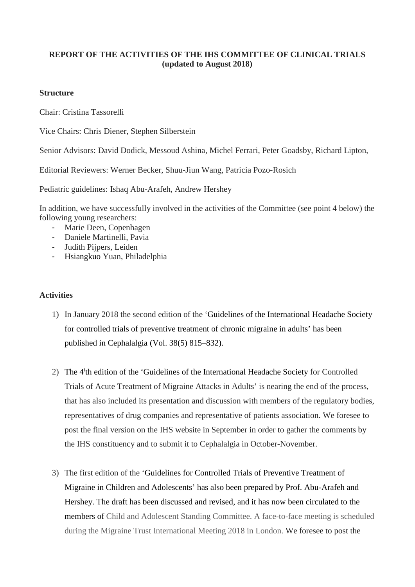## **REPORT OF THE ACTIVITIES OF THE IHS COMMITTEE OF CLINICAL TRIALS (updated to August 2018)**

## **Structure**

Chair: Cristina Tassorelli

Vice Chairs: Chris Diener, Stephen Silberstein

Senior Advisors: David Dodick, Messoud Ashina, Michel Ferrari, Peter Goadsby, Richard Lipton,

Editorial Reviewers: Werner Becker, Shuu-Jiun Wang, Patricia Pozo-Rosich

Pediatric guidelines: Ishaq Abu-Arafeh, Andrew Hershey

In addition, we have successfully involved in the activities of the Committee (see point 4 below) the following young researchers:

- Marie Deen, Copenhagen
- Daniele Martinelli, Pavia
- Judith Pijpers, Leiden
- Hsiangkuo Yuan, Philadelphia

## **Activities**

- 1) In January 2018 the second edition of the 'Guidelines of the International Headache Society for controlled trials of preventive treatment of chronic migraine in adults' has been published in Cephalalgia (Vol. 38(5) 815–832).
- 2) The 4<sup>t</sup>th edition of the 'Guidelines of the International Headache Society for Controlled Trials of Acute Treatment of Migraine Attacks in Adults' is nearing the end of the process, that has also included its presentation and discussion with members of the regulatory bodies, representatives of drug companies and representative of patients association. We foresee to post the final version on the IHS website in September in order to gather the comments by the IHS constituency and to submit it to Cephalalgia in October-November.
- 3) The first edition of the 'Guidelines for Controlled Trials of Preventive Treatment of Migraine in Children and Adolescents' has also been prepared by Prof. Abu-Arafeh and Hershey. The draft has been discussed and revised, and it has now been circulated to the members of Child and Adolescent Standing Committee. A face-to-face meeting is scheduled during the Migraine Trust International Meeting 2018 in London. We foresee to post the